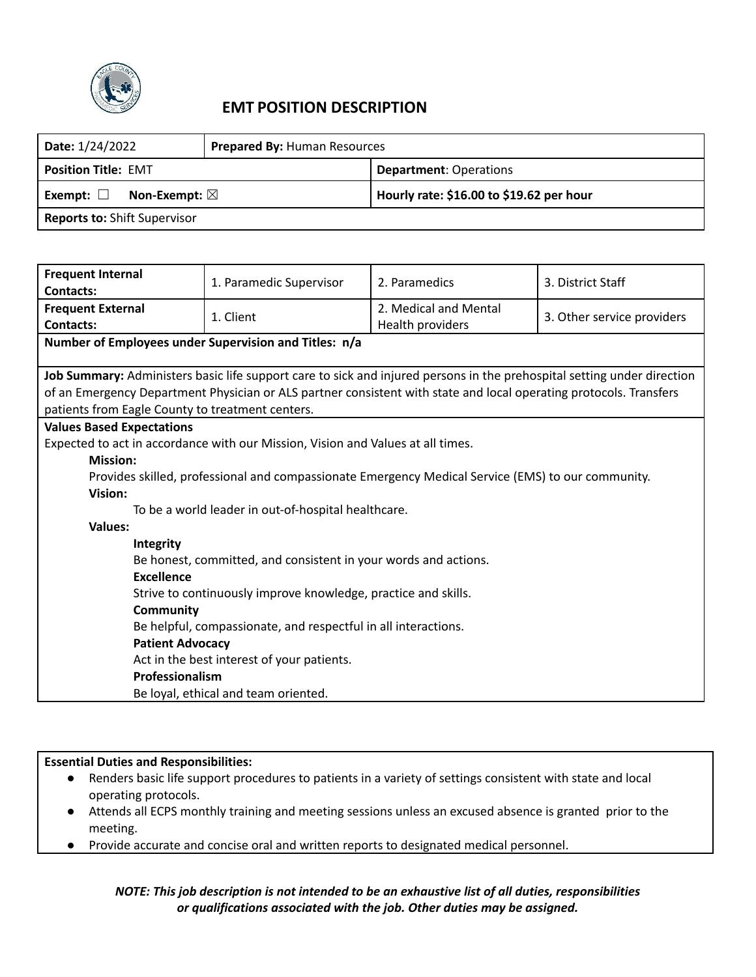

# **EMT POSITION DESCRIPTION**

| Date: 1/24/2022                           | <b>Prepared By: Human Resources</b> |                                          |  |
|-------------------------------------------|-------------------------------------|------------------------------------------|--|
| <b>Position Title: EMT</b>                |                                     | <b>Department: Operations</b>            |  |
| Non-Exempt: $\boxtimes$<br>Exempt: $\Box$ |                                     | Hourly rate: \$16.00 to \$19.62 per hour |  |
| <b>Reports to: Shift Supervisor</b>       |                                     |                                          |  |

| <b>Frequent Internal</b><br><b>Contacts:</b>                                                                                                                                                                                                                                                      | 1. Paramedic Supervisor                                                                            | 2. Paramedics                             | 3. District Staff          |  |
|---------------------------------------------------------------------------------------------------------------------------------------------------------------------------------------------------------------------------------------------------------------------------------------------------|----------------------------------------------------------------------------------------------------|-------------------------------------------|----------------------------|--|
| <b>Frequent External</b><br><b>Contacts:</b>                                                                                                                                                                                                                                                      | 1. Client                                                                                          | 2. Medical and Mental<br>Health providers | 3. Other service providers |  |
|                                                                                                                                                                                                                                                                                                   | Number of Employees under Supervision and Titles: n/a                                              |                                           |                            |  |
| Job Summary: Administers basic life support care to sick and injured persons in the prehospital setting under direction<br>of an Emergency Department Physician or ALS partner consistent with state and local operating protocols. Transfers<br>patients from Eagle County to treatment centers. |                                                                                                    |                                           |                            |  |
| <b>Values Based Expectations</b>                                                                                                                                                                                                                                                                  |                                                                                                    |                                           |                            |  |
|                                                                                                                                                                                                                                                                                                   | Expected to act in accordance with our Mission, Vision and Values at all times.                    |                                           |                            |  |
| <b>Mission:</b>                                                                                                                                                                                                                                                                                   |                                                                                                    |                                           |                            |  |
|                                                                                                                                                                                                                                                                                                   | Provides skilled, professional and compassionate Emergency Medical Service (EMS) to our community. |                                           |                            |  |
| Vision:                                                                                                                                                                                                                                                                                           |                                                                                                    |                                           |                            |  |
| To be a world leader in out-of-hospital healthcare.                                                                                                                                                                                                                                               |                                                                                                    |                                           |                            |  |
| <b>Values:</b>                                                                                                                                                                                                                                                                                    |                                                                                                    |                                           |                            |  |
| Integrity                                                                                                                                                                                                                                                                                         |                                                                                                    |                                           |                            |  |
| Be honest, committed, and consistent in your words and actions.                                                                                                                                                                                                                                   |                                                                                                    |                                           |                            |  |
| <b>Excellence</b>                                                                                                                                                                                                                                                                                 |                                                                                                    |                                           |                            |  |
| Strive to continuously improve knowledge, practice and skills.                                                                                                                                                                                                                                    |                                                                                                    |                                           |                            |  |
| Community                                                                                                                                                                                                                                                                                         |                                                                                                    |                                           |                            |  |
| Be helpful, compassionate, and respectful in all interactions.                                                                                                                                                                                                                                    |                                                                                                    |                                           |                            |  |
| <b>Patient Advocacy</b>                                                                                                                                                                                                                                                                           |                                                                                                    |                                           |                            |  |
| Act in the best interest of your patients.                                                                                                                                                                                                                                                        |                                                                                                    |                                           |                            |  |
|                                                                                                                                                                                                                                                                                                   | Professionalism                                                                                    |                                           |                            |  |
|                                                                                                                                                                                                                                                                                                   | Be loyal, ethical and team oriented.                                                               |                                           |                            |  |

#### **Essential Duties and Responsibilities:**

- Renders basic life support procedures to patients in a variety of settings consistent with state and local operating protocols.
- Attends all ECPS monthly training and meeting sessions unless an excused absence is granted prior to the meeting.
- Provide accurate and concise oral and written reports to designated medical personnel.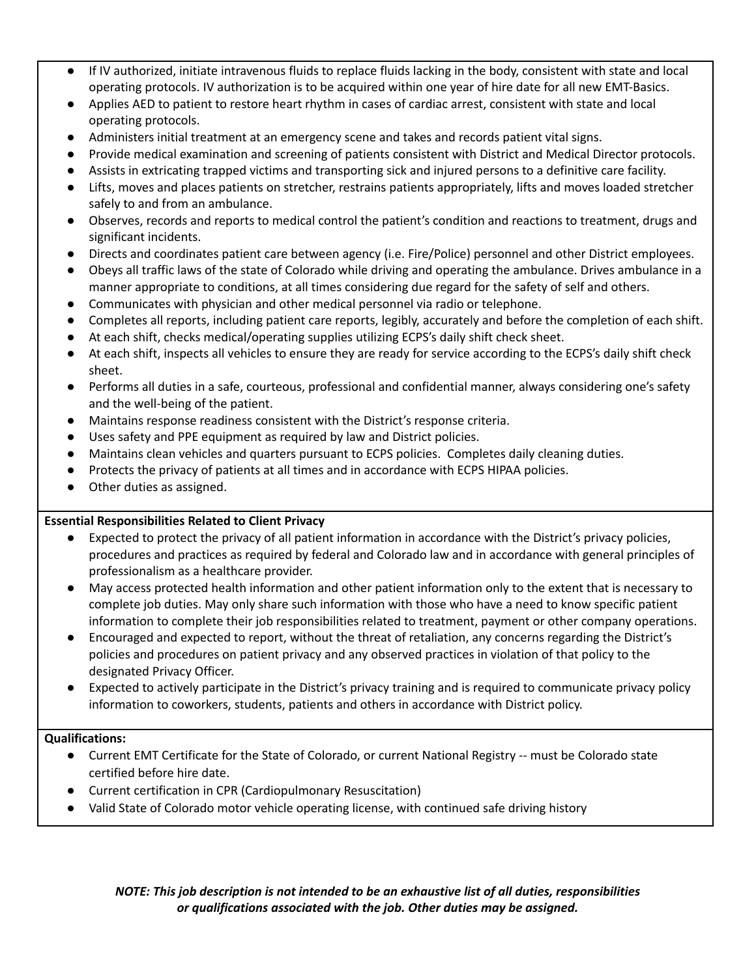- If IV authorized, initiate intravenous fluids to replace fluids lacking in the body, consistent with state and local operating protocols. IV authorization is to be acquired within one year of hire date for all new EMT-Basics.
- Applies AED to patient to restore heart rhythm in cases of cardiac arrest, consistent with state and local operating protocols.
- Administers initial treatment at an emergency scene and takes and records patient vital signs.
- Provide medical examination and screening of patients consistent with District and Medical Director protocols.
- Assists in extricating trapped victims and transporting sick and injured persons to a definitive care facility.
- Lifts, moves and places patients on stretcher, restrains patients appropriately, lifts and moves loaded stretcher safely to and from an ambulance.
- Observes, records and reports to medical control the patient's condition and reactions to treatment, drugs and significant incidents.
- Directs and coordinates patient care between agency (i.e. Fire/Police) personnel and other District employees.
- Obeys all traffic laws of the state of Colorado while driving and operating the ambulance. Drives ambulance in a manner appropriate to conditions, at all times considering due regard for the safety of self and others.
- Communicates with physician and other medical personnel via radio or telephone.
- Completes all reports, including patient care reports, legibly, accurately and before the completion of each shift.
- At each shift, checks medical/operating supplies utilizing ECPS's daily shift check sheet.
- At each shift, inspects all vehicles to ensure they are ready for service according to the ECPS's daily shift check sheet.
- Performs all duties in a safe, courteous, professional and confidential manner, always considering one's safety and the well-being of the patient.
- Maintains response readiness consistent with the District's response criteria.
- Uses safety and PPE equipment as required by law and District policies.
- Maintains clean vehicles and quarters pursuant to ECPS policies. Completes daily cleaning duties.
- Protects the privacy of patients at all times and in accordance with ECPS HIPAA policies.
- Other duties as assigned.

### **Essential Responsibilities Related to Client Privacy**

- Expected to protect the privacy of all patient information in accordance with the District's privacy policies, procedures and practices as required by federal and Colorado law and in accordance with general principles of professionalism as a healthcare provider.
- May access protected health information and other patient information only to the extent that is necessary to complete job duties. May only share such information with those who have a need to know specific patient information to complete their job responsibilities related to treatment, payment or other company operations.
- Encouraged and expected to report, without the threat of retaliation, any concerns regarding the District's policies and procedures on patient privacy and any observed practices in violation of that policy to the designated Privacy Officer.
- Expected to actively participate in the District's privacy training and is required to communicate privacy policy information to coworkers, students, patients and others in accordance with District policy.

#### **Qualifications:**

- Current EMT Certificate for the State of Colorado, or current National Registry -- must be Colorado state certified before hire date.
- Current certification in CPR (Cardiopulmonary Resuscitation)
- Valid State of Colorado motor vehicle operating license, with continued safe driving history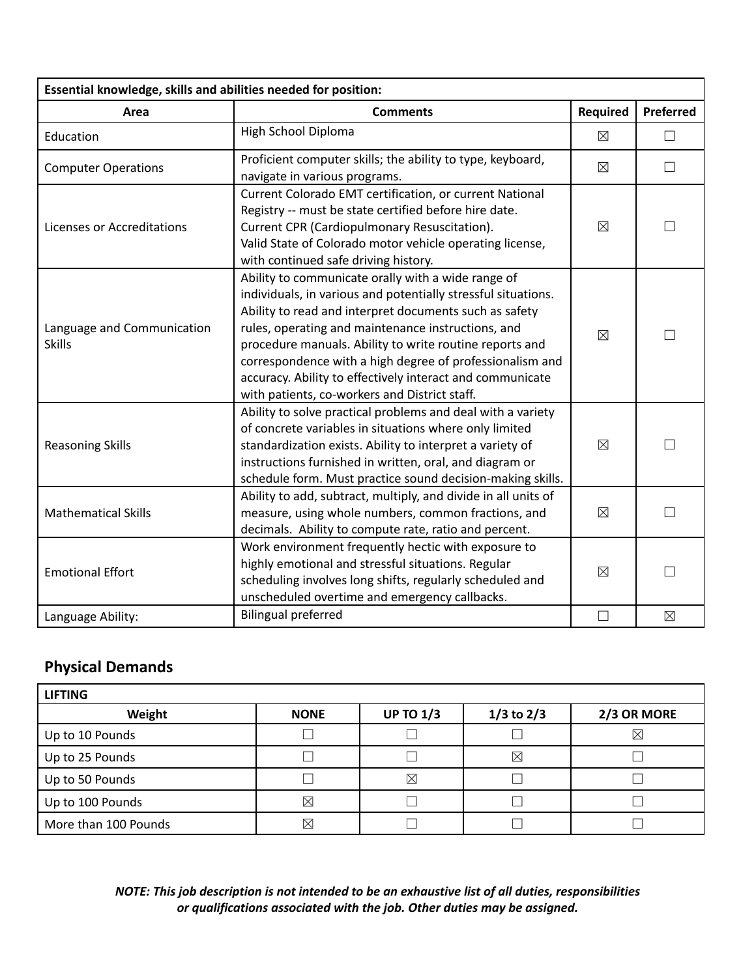| Essential knowledge, skills and abilities needed for position: |                                                                                                                                                                                                                                                                                                                                                                                                                                                                          |                 |             |  |
|----------------------------------------------------------------|--------------------------------------------------------------------------------------------------------------------------------------------------------------------------------------------------------------------------------------------------------------------------------------------------------------------------------------------------------------------------------------------------------------------------------------------------------------------------|-----------------|-------------|--|
| Area                                                           | <b>Comments</b>                                                                                                                                                                                                                                                                                                                                                                                                                                                          | <b>Required</b> | Preferred   |  |
| Education                                                      | High School Diploma                                                                                                                                                                                                                                                                                                                                                                                                                                                      | $\boxtimes$     | $\Box$      |  |
| <b>Computer Operations</b>                                     | Proficient computer skills; the ability to type, keyboard,<br>navigate in various programs.                                                                                                                                                                                                                                                                                                                                                                              | $\boxtimes$     | $\Box$      |  |
| <b>Licenses or Accreditations</b>                              | Current Colorado EMT certification, or current National<br>Registry -- must be state certified before hire date.<br>Current CPR (Cardiopulmonary Resuscitation).<br>Valid State of Colorado motor vehicle operating license,<br>with continued safe driving history.                                                                                                                                                                                                     | $\boxtimes$     |             |  |
| Language and Communication<br><b>Skills</b>                    | Ability to communicate orally with a wide range of<br>individuals, in various and potentially stressful situations.<br>Ability to read and interpret documents such as safety<br>rules, operating and maintenance instructions, and<br>procedure manuals. Ability to write routine reports and<br>correspondence with a high degree of professionalism and<br>accuracy. Ability to effectively interact and communicate<br>with patients, co-workers and District staff. | $\boxtimes$     |             |  |
| <b>Reasoning Skills</b>                                        | Ability to solve practical problems and deal with a variety<br>of concrete variables in situations where only limited<br>standardization exists. Ability to interpret a variety of<br>instructions furnished in written, oral, and diagram or<br>schedule form. Must practice sound decision-making skills.                                                                                                                                                              | $\boxtimes$     |             |  |
| <b>Mathematical Skills</b>                                     | Ability to add, subtract, multiply, and divide in all units of<br>measure, using whole numbers, common fractions, and<br>decimals. Ability to compute rate, ratio and percent.                                                                                                                                                                                                                                                                                           | $\boxtimes$     |             |  |
| <b>Emotional Effort</b>                                        | Work environment frequently hectic with exposure to<br>highly emotional and stressful situations. Regular<br>scheduling involves long shifts, regularly scheduled and<br>unscheduled overtime and emergency callbacks.                                                                                                                                                                                                                                                   | $\boxtimes$     |             |  |
| Language Ability:                                              | <b>Bilingual preferred</b>                                                                                                                                                                                                                                                                                                                                                                                                                                               |                 | $\boxtimes$ |  |

# **Physical Demands**

| <b>LIFTING</b>       |             |                  |                |             |
|----------------------|-------------|------------------|----------------|-------------|
| Weight               | <b>NONE</b> | <b>UP TO 1/3</b> | $1/3$ to $2/3$ | 2/3 OR MORE |
| Up to 10 Pounds      |             |                  |                | $\times$    |
| Up to 25 Pounds      |             |                  | ⊠              |             |
| Up to 50 Pounds      |             | ⊠                |                |             |
| Up to 100 Pounds     | $\boxtimes$ |                  |                |             |
| More than 100 Pounds | $\boxtimes$ |                  |                |             |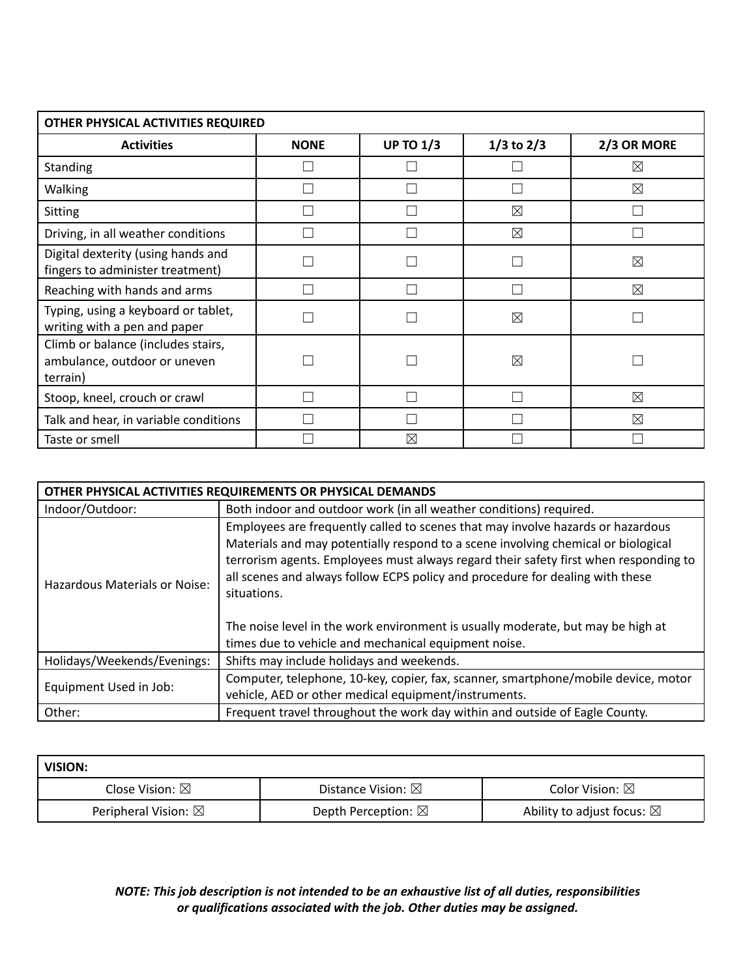| OTHER PHYSICAL ACTIVITIES REQUIRED                                             |             |                  |                |             |
|--------------------------------------------------------------------------------|-------------|------------------|----------------|-------------|
| <b>Activities</b>                                                              | <b>NONE</b> | <b>UP TO 1/3</b> | $1/3$ to $2/3$ | 2/3 OR MORE |
| Standing                                                                       |             |                  |                | ⊠           |
| Walking                                                                        |             |                  |                | ⊠           |
| Sitting                                                                        |             |                  | ⊠              |             |
| Driving, in all weather conditions                                             |             |                  | ⊠              |             |
| Digital dexterity (using hands and<br>fingers to administer treatment)         |             |                  |                | ⊠           |
| Reaching with hands and arms                                                   |             |                  |                | $\boxtimes$ |
| Typing, using a keyboard or tablet,<br>writing with a pen and paper            |             |                  | ⊠              |             |
| Climb or balance (includes stairs,<br>ambulance, outdoor or uneven<br>terrain) |             |                  | ⊠              |             |
| Stoop, kneel, crouch or crawl                                                  |             |                  |                | ⊠           |
| Talk and hear, in variable conditions                                          |             |                  |                | ⊠           |
| Taste or smell                                                                 |             | ⊠                |                |             |

| OTHER PHYSICAL ACTIVITIES REQUIREMENTS OR PHYSICAL DEMANDS |                                                                                                                                                                                                                                                                                                                                                                                                                                                                                                         |  |
|------------------------------------------------------------|---------------------------------------------------------------------------------------------------------------------------------------------------------------------------------------------------------------------------------------------------------------------------------------------------------------------------------------------------------------------------------------------------------------------------------------------------------------------------------------------------------|--|
| Indoor/Outdoor:                                            | Both indoor and outdoor work (in all weather conditions) required.                                                                                                                                                                                                                                                                                                                                                                                                                                      |  |
| Hazardous Materials or Noise:                              | Employees are frequently called to scenes that may involve hazards or hazardous<br>Materials and may potentially respond to a scene involving chemical or biological<br>terrorism agents. Employees must always regard their safety first when responding to<br>all scenes and always follow ECPS policy and procedure for dealing with these<br>situations.<br>The noise level in the work environment is usually moderate, but may be high at<br>times due to vehicle and mechanical equipment noise. |  |
| Holidays/Weekends/Evenings:                                | Shifts may include holidays and weekends.                                                                                                                                                                                                                                                                                                                                                                                                                                                               |  |
| Equipment Used in Job:                                     | Computer, telephone, 10-key, copier, fax, scanner, smartphone/mobile device, motor<br>vehicle, AED or other medical equipment/instruments.                                                                                                                                                                                                                                                                                                                                                              |  |
| Other:                                                     | Frequent travel throughout the work day within and outside of Eagle County.                                                                                                                                                                                                                                                                                                                                                                                                                             |  |

| VISION:                        |                               |                                      |
|--------------------------------|-------------------------------|--------------------------------------|
| Close Vision: $\boxtimes$      | Distance Vision: $\boxtimes$  | Color Vision: $\boxtimes$            |
| Peripheral Vision: $\boxtimes$ | Depth Perception: $\boxtimes$ | Ability to adjust focus: $\boxtimes$ |